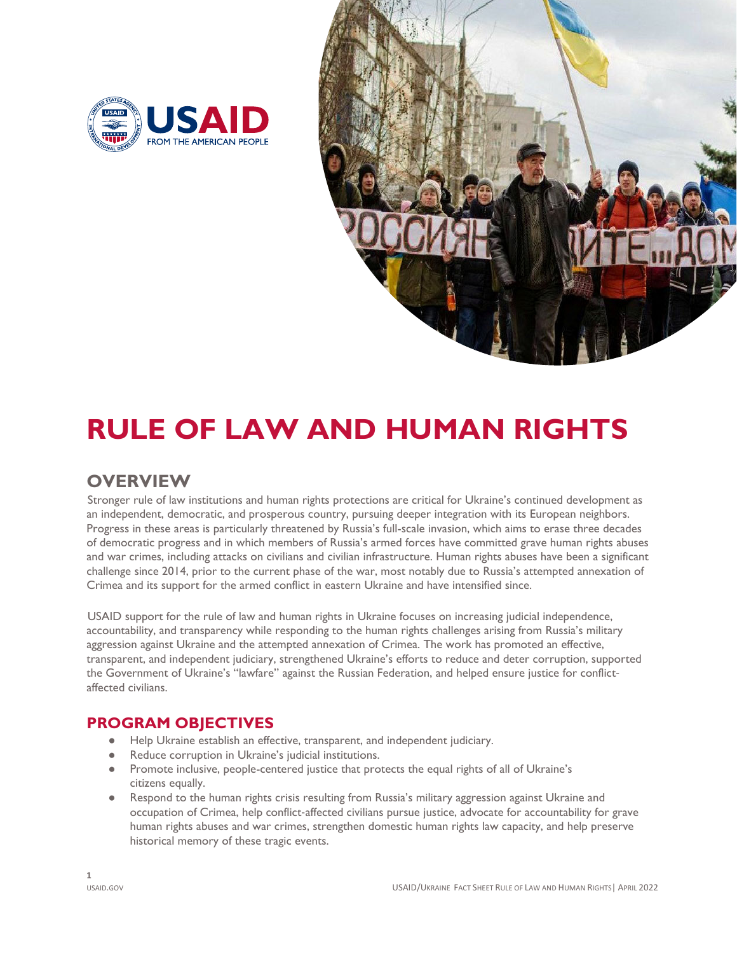



# **RULE OF LAW AND HUMAN RIGHTS**

## **OVERVIEW**

Stronger rule of law institutions and human rights protections are critical for Ukraine's continued development as an independent, democratic, and prosperous country, pursuing deeper integration with its European neighbors. Progress in these areas is particularly threatened by Russia's full-scale invasion, which aims to erase three decades of democratic progress and in which members of Russia's armed forces have committed grave human rights abuses and war crimes, including attacks on civilians and civilian infrastructure. Human rights abuses have been a significant challenge since 2014, prior to the current phase of the war, most notably due to Russia's attempted annexation of Crimea and its support for the armed conflict in eastern Ukraine and have intensified since.

USAID support for the rule of law and human rights in Ukraine focuses on increasing judicial independence, accountability, and transparency while responding to the human rights challenges arising from Russia's military aggression against Ukraine and the attempted annexation of Crimea. The work has promoted an effective, transparent, and independent judiciary, strengthened Ukraine's efforts to reduce and deter corruption, supported the Government of Ukraine's "lawfare" against the Russian Federation, and helped ensure justice for conflictaffected civilians.

### **PROGRAM OBJECTIVES**

- Help Ukraine establish an effective, transparent, and independent judiciary.
- Reduce corruption in Ukraine's judicial institutions.
- citizens equally. ● Promote inclusive, people-centered justice that protects the equal rights of all of Ukraine's
- Respond to the human rights crisis resulting from Russia's military aggression against Ukraine and occupation of Crimea, help conflict-affected civilians pursue justice, advocate for accountability for grave human rights abuses and war crimes, strengthen domestic human rights law capacity, and help preserve historical memory of these tragic events.